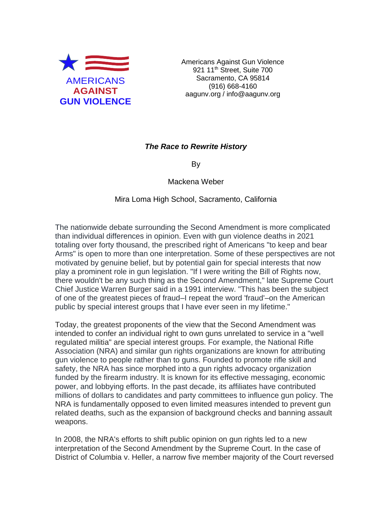

Americans Against Gun Violence 921 11<sup>th</sup> Street, Suite 700 Sacramento, CA 95814 (916) 668-4160 aagunv.org / info@aagunv.org

## *The Race to Rewrite History*

By

Mackena Weber

## Mira Loma High School, Sacramento, California

The nationwide debate surrounding the Second Amendment is more complicated than individual differences in opinion. Even with gun violence deaths in 2021 totaling over forty thousand, the prescribed right of Americans "to keep and bear Arms" is open to more than one interpretation. Some of these perspectives are not motivated by genuine belief, but by potential gain for special interests that now play a prominent role in gun legislation. "If I were writing the Bill of Rights now, there wouldn't be any such thing as the Second Amendment," late Supreme Court Chief Justice Warren Burger said in a 1991 interview. "This has been the subject of one of the greatest pieces of fraud–I repeat the word 'fraud'–on the American public by special interest groups that I have ever seen in my lifetime."

Today, the greatest proponents of the view that the Second Amendment was intended to confer an individual right to own guns unrelated to service in a "well regulated militia" are special interest groups. For example, the National Rifle Association (NRA) and similar gun rights organizations are known for attributing gun violence to people rather than to guns. Founded to promote rifle skill and safety, the NRA has since morphed into a gun rights advocacy organization funded by the firearm industry. It is known for its effective messaging, economic power, and lobbying efforts. In the past decade, its affiliates have contributed millions of dollars to candidates and party committees to influence gun policy. The NRA is fundamentally opposed to even limited measures intended to prevent gun related deaths, such as the expansion of background checks and banning assault weapons.

In 2008, the NRA's efforts to shift public opinion on gun rights led to a new interpretation of the Second Amendment by the Supreme Court. In the case of District of Columbia v. Heller, a narrow five member majority of the Court reversed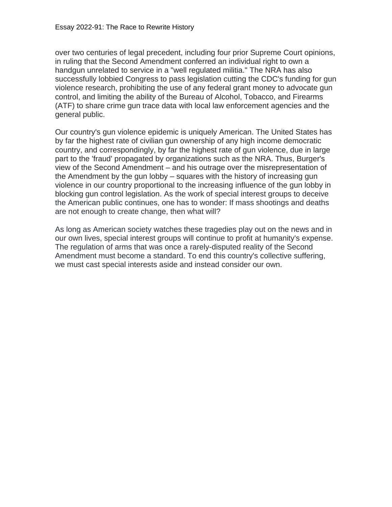over two centuries of legal precedent, including four prior Supreme Court opinions, in ruling that the Second Amendment conferred an individual right to own a handgun unrelated to service in a "well regulated militia." The NRA has also successfully lobbied Congress to pass legislation cutting the CDC's funding for gun violence research, prohibiting the use of any federal grant money to advocate gun control, and limiting the ability of the Bureau of Alcohol, Tobacco, and Firearms (ATF) to share crime gun trace data with local law enforcement agencies and the general public.

Our country's gun violence epidemic is uniquely American. The United States has by far the highest rate of civilian gun ownership of any high income democratic country, and correspondingly, by far the highest rate of gun violence, due in large part to the 'fraud' propagated by organizations such as the NRA. Thus, Burger's view of the Second Amendment – and his outrage over the misrepresentation of the Amendment by the gun lobby – squares with the history of increasing gun violence in our country proportional to the increasing influence of the gun lobby in blocking gun control legislation. As the work of special interest groups to deceive the American public continues, one has to wonder: If mass shootings and deaths are not enough to create change, then what will?

As long as American society watches these tragedies play out on the news and in our own lives, special interest groups will continue to profit at humanity's expense. The regulation of arms that was once a rarely-disputed reality of the Second Amendment must become a standard. To end this country's collective suffering, we must cast special interests aside and instead consider our own.